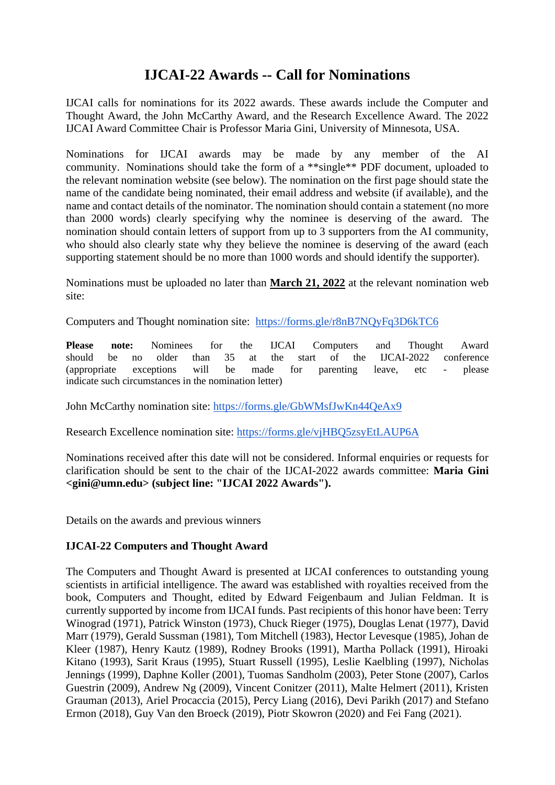## **IJCAI-22 Awards -- Call for Nominations**

IJCAI calls for nominations for its 2022 awards. These awards include the Computer and Thought Award, the John McCarthy Award, and the Research Excellence Award. The 2022 IJCAI Award Committee Chair is Professor Maria Gini, University of Minnesota, USA.

Nominations for IJCAI awards may be made by any member of the AI community. Nominations should take the form of a \*\*single\*\* PDF document, uploaded to the relevant nomination website (see below). The nomination on the first page should state the name of the candidate being nominated, their email address and website (if available), and the name and contact details of the nominator. The nomination should contain a statement (no more than 2000 words) clearly specifying why the nominee is deserving of the award. The nomination should contain letters of support from up to 3 supporters from the AI community, who should also clearly state why they believe the nominee is deserving of the award (each supporting statement should be no more than 1000 words and should identify the supporter).

Nominations must be uploaded no later than **March 21, 2022** at the relevant nomination web site:

Computers and Thought nomination site: <https://forms.gle/r8nB7NQyFq3D6kTC6>

**Please note:** Nominees for the IJCAI Computers and Thought Award should be no older than 35 at the start of the IJCAI-2022 conference (appropriate exceptions will be made for parenting leave, etc - please indicate such circumstances in the nomination letter)

John McCarthy nomination site:<https://forms.gle/GbWMsfJwKn44QeAx9>

Research Excellence nomination site:<https://forms.gle/vjHBQ5zsyEtLAUP6A>

Nominations received after this date will not be considered. Informal enquiries or requests for clarification should be sent to the chair of the IJCAI-2022 awards committee: **Maria Gini <gini@umn.edu> (subject line: "IJCAI 2022 Awards").**

Details on the awards and previous winners

## **IJCAI-22 Computers and Thought Award**

The Computers and Thought Award is presented at IJCAI conferences to outstanding young scientists in artificial intelligence. The award was established with royalties received from the book, Computers and Thought, edited by Edward Feigenbaum and Julian Feldman. It is currently supported by income from IJCAI funds. Past recipients of this honor have been: Terry Winograd (1971), Patrick Winston (1973), Chuck Rieger (1975), Douglas Lenat (1977), David Marr (1979), Gerald Sussman (1981), Tom Mitchell (1983), Hector Levesque (1985), Johan de Kleer (1987), Henry Kautz (1989), Rodney Brooks (1991), Martha Pollack (1991), Hiroaki Kitano (1993), Sarit Kraus (1995), Stuart Russell (1995), Leslie Kaelbling (1997), Nicholas Jennings (1999), Daphne Koller (2001), Tuomas Sandholm (2003), Peter Stone (2007), Carlos Guestrin (2009), Andrew Ng (2009), Vincent Conitzer (2011), Malte Helmert (2011), Kristen Grauman (2013), Ariel Procaccia (2015), Percy Liang (2016), Devi Parikh (2017) and Stefano Ermon (2018), Guy Van den Broeck (2019), Piotr Skowron (2020) and Fei Fang (2021).